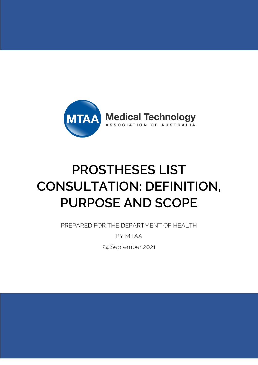

# **PROSTHESES LIST CONSULTATION: DEFINITION, PURPOSE AND SCOPE**

PREPARED FOR THE DEPARTMENT OF HEALTH

BY MTAA 24 September 2021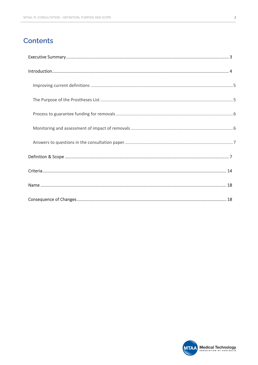# **Contents**

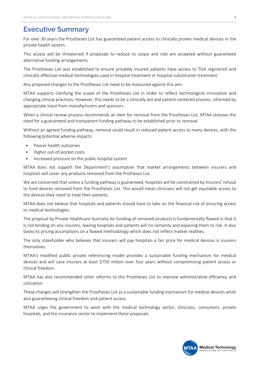# **Executive Summary**

For over 30 years the Prostheses List has guaranteed patient access to clinically proven medical devices in the private health system.

This access will be threatened if proposals to reduce its scope and role are accepted without guaranteed alternative funding arrangements.

The Prostheses List was established to ensure privately insured patients have access to TGA registered and clinically effective medical technologies used in hospital treatment or hospital-substitution treatment.

Any proposed changes to the Prostheses List need to be measured against this aim.

MTAA supports clarifying the scope of the Prostheses List in order to reflect technological innovation and changing clinical practices. However, this needs to be a clinically led and patient-centered process, informed by appropriate input from manufacturers and sponsors.

When a clinical review process recommends an item for removal from the Prostheses List, MTAA stresses the need for a guaranteed and transparent funding pathway to be established prior to removal.

Without an agreed funding pathway, removal could result in reduced patient access to many devices, with the following potential adverse impacts:

- § Poorer health outcomes
- § Higher out-of-pocket costs
- **•** Increased pressure on the public hospital system

MTAA does not support the Department's assumption that market arrangements between insurers and hospitals will cover any products removed from the Protheses List.

We are concerned that unless a funding pathway is guaranteed, hospitals will be constrained by insurers' refusal to fund devices removed from the Prostheses List. This would mean clinicians will not get equitable access to the devices they need to treat their patients.

MTAA does not believe that hospitals and patients should have to take on the financial risk of ensuring access to medical technologies.

The proposal by Private Healthcare Australia for funding of removed productsis fundamentally flawed in that it is not binding on any insurers, leaving hospitals and patients will no certainty and exposing them to risk. It also bases its pricing assumptions on a flawed methodology which does not reflect market realities.

The only stakeholder who believes that insurers will pay hospitals a fair price for medical devices is insurers themselves.

MTAA's modified public private referencing model provides a sustainable funding mechanism for medical devices and will save insurers at least \$750 million over four years without compromising patient access or clinical freedom.

MTAA has also recommended other reforms to the Prostheses List to improve administrative efficiency and utilisation.

These changes will strengthen the Prostheses List as a sustainable funding mechanism for medical devices while also guaranteeing clinical freedom and patient access.

MTAA urges the government to work with the medical technology sector, clinicians, consumers, private hospitals, and the insurance sector to implement these proposals.

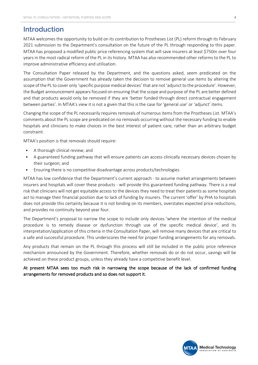## **Introduction**

MTAA welcomes the opportunity to build on its contribution to Prostheses List (PL) reform through its February 2021 submission to the Department's consultation on the future of the PL through responding to this paper. MTAA has proposed a modified public price referencing system that will save insurers at least \$750m over four years in the most radical reform of the PL in its history. MTAA has also recommended other reforms to the PL to improve administrative efficiency and utilisation.

The Consultation Paper released by the Department, and the questions asked, seem predicated on the assumption that the Government has already taken the decision to remove general use items by altering the scope of the PL to cover only 'specific purpose medical devices' that are not 'adjunct to the procedure'. However, the Budget announcement appears focused on ensuring that the scope and purpose of the PL are better defined and that products would only be removed if they are 'better funded through direct contractual engagement between parties'. In MTAA's view it is not a given that this is the case for 'general use' or 'adjunct' items.

Changing the scope of the PL necessarily requires removals of numerous items from the Prostheses List. MTAA's comments about the PL scope are predicated on no removals occurring without the necessary funding to enable hospitals and clinicians to make choices in the best interest of patient care, rather than an arbitrary budget constraint.

MTAA's position is that removals should require:

- **•** A thorough clinical review: and
- § A guaranteed funding pathway that will ensure patients can access clinically necessary devices chosen by their surgeon; and
- § Ensuring there is no competitive disadvantage across products/technologies

MTAA has low confidence that the Department's current approach - to assume market arrangements between insurers and hospitals will cover these products - will provide this guaranteed funding pathway. There is a real risk that clinicians will not get equitable access to the devices they need to treat their patients as some hospitals act to manage their financial position due to lack of funding by insurers. The current 'offer' by PHA to hospitals does not provide this certainty because it is not binding on its members, overstates expected price reductions, and provides no continuity beyond year four.

The Department's proposal to narrow the scope to include only devices 'where the intention of the medical procedure is to remedy disease or dysfunction through use of the specific medical device', and its interpretation/application of this criteria in the Consultation Paper, will remove many devices that are critical to a safe and successful procedure. This underscores the need for proper funding arrangements for any removals.

Any products that remain on the PL through this process will still be included in the public price reference mechanism announced by the Government. Therefore, whether removals do or do not occur, savings will be achieved on these product groups, unless they already have a competitive benefit level.

#### At present MTAA sees too much risk in narrowing the scope because of the lack of confirmed funding arrangements for removed products and so does not support it.

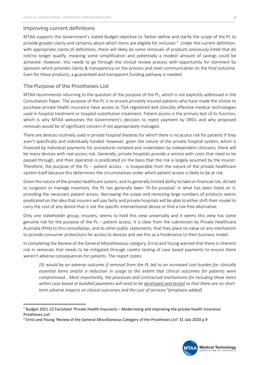#### **Improving current definitions**

MTAA supports the Government's stated Budget objective to 'better define and clarify the scope of the PL to provide greater clarity and certainty about which items are eligible for inclusion<sup>1</sup>. Under the current definition, with appropriate clarity of definitions, there will likely be some removals of products previously listed that do not/no longer qualify, meaning some simplification and potentially a modest amount of savings could be achieved. However, this needs to go through the clinical review process with opportunity for comment by sponsors which provides clarity & transparency on the process and clear communication on the final outcome. Even for these products, a guaranteed and transparent funding pathway is needed.

#### **The Purpose of the Prostheses List**

MTAA recommends returning to the question of the purpose of the PL, which is not explicitly addressed in the Consultation Paper. The purpose of the PL is to ensure privately insured patients who have made the choice to purchase private health insurance have access to TGA registered and clinically effective medical technologies used in hospital treatment or hospital-substitution treatment. Patient access is the primary test of its function, which is why MTAA welcomes the Government's decision to reject payment by DRGs and why proposed removals would be of significant concern if not appropriately managed.

There are devices routinely used in private hospital theatres for which there is no access risk for patients if they aren't specifically and individually funded. However, given the nature of the private hospital system, which is financed by individual payments for procedures initiated and undertaken by independent clinicians, there will be many devices with real access risk. Generally, private hospitals provide a service with costs that need to be passed through, and their operation is predicated on the basis that the risk is largely assumed by the insurer. Therefore, the purpose of the PL – patient access - is inseparable from the nature of the private healthcare system itself because this determines the circumstances under which patient access is likely to be at risk.

Given the nature of the private healthcare system, and its generally limited ability to take on financial risk, dictate to surgeons or manage inventory, the PL has generally been 'fit-for-purpose' in what has been listed on it, providing the necessary patient access. Narrowing the scope and removing large numbers of products seems predicated on the idea that insurers will pay fairly and private hospitals will be able to either shift their model to carry the cost of any device that is not the specific interventional device or find a risk-free alternative.

Only one stakeholder group, insurers, seems to hold this view universally and it seems this view has some genuine risk for the purpose of the PL – patient access. It is clear from the submission by Private Healthcare Australia (PHA) to this consultation, and its other public statements, that they place no value on any mechanism to provide consumer protections for access to devices and see this as a hinderance to their business model.

In completing the Review of the General Miscellaneous category, Ernst and Young warned that there is inherent risk in removals that needs to be mitigated through careful testing of case based payments to ensure there weren't adverse consequences for patients. The report states:

*[I]t would be an adverse outcome if removal from the PL led to an increased cost burden for clinically essential items and/or a reduction in usage to the extent that clinical outcomes for patients were compromised… Most importantly, the processes and contractual mechanisms for including these items within case based or bundled payments will need to be developed and tested so that there are no short*term adverse impacts on clinical outcomes and the cost of services.<sup>2</sup>[emphasis added]

<sup>2</sup> Ernst and Young 'Review of the General Miscellaneous Category of the Prostheses List' 31 July 2020 p.9



 $1$  Budget 2021-22 Factsheet 'Private Health Insurance – Modernising and improving the private health insurance Prostheses List'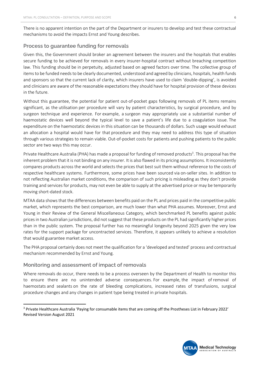There is no apparent intention on the part of the Department or insurers to develop and test these contractual mechanisms to avoid the impacts Ernst and Young describes.

#### **Process to guarantee funding for removals**

Given this, the Government should broker an agreement between the insurers and the hospitals that enables secure funding to be achieved for removals in every insurer-hospital contract without breaching competition law. This funding should be in perpetuity, adjusted based on agreed factors over time. The collective group of items to be funded needs to be clearly documented, understood and agreed by clinicians, hospitals, health funds and sponsors so that the current lack of clarity, which insurers have used to claim 'double-dipping', is avoided and clinicians are aware of the reasonable expectations they should have for hospital provision of these devices in the future.

Without this guarantee, the potential for patient out-of-pocket gaps following removals of PL items remains significant, as the utilisation per procedure will vary by patient characteristics, by surgical procedure, and by surgeon technique and experience. For example, a surgeon may appropriately use a substantial number of haemostatic devices well beyond the typical level to save a patient's life due to a coagulation issue. The expenditure on the haemostatic devices in this situation can be thousands of dollars. Such usage would exhaust an allocation a hospital would have for that procedure and they may need to address this type of situation through various strategies to remain viable. Out-of-pocket costs for patients and pushing patients to the public sector are two ways this may occur.

Private Healthcare Australia (PHA) has made a proposal for funding of removed products<sup>3</sup>. This proposal has the inherent problem that it is not binding on any insurer. It is also flawed in its pricing assumptions. It inconsistently compares products across the world and selects the prices that best suit them without reference to the costs of respective healthcare systems. Furthermore, some prices have been sourced via on-seller sites. In addition to not reflecting Australian market conditions, the comparison of such pricing is misleading as they don't provide training and services for products, may not even be able to supply at the advertised price or may be temporarily moving short-dated stock.

MTAA data shows that the differences between benefits paid on the PL and prices paid in the competitive public market, which represents the best comparison, are much lower than what PHA assumes. Moreover, Ernst and Young in their Review of the General Miscellaneous Category, which benchmarked PL benefits against public prices in two Australian jurisdictions, did not suggest that these products on the PL had significantly higher prices than in the public system. The proposal further has no meaningful longevity beyond 2025 given the very low rates for the support package for uncontracted services. Therefore, it appears unlikely to achieve a resolution that would guarantee market access.

The PHA proposal certainly does not meet the qualification for a 'developed and tested' process and contractual mechanism recommended by Ernst and Young.

#### **Monitoring and assessment of impact of removals**

Where removals do occur, there needs to be a process overseen by the Department of Health to monitor this to ensure there are no unintended adverse consequences. For example, the impact of removal of haemostats and sealants on the rate of bleeding complications, increased rates of transfusions, surgical procedure changes and any changes in patient type being treated in private hospitals.

<sup>3</sup> Private Healthcare Australia 'Paying for consumable items that are coming off the Prostheses List in February 2022' Revised Version August 2021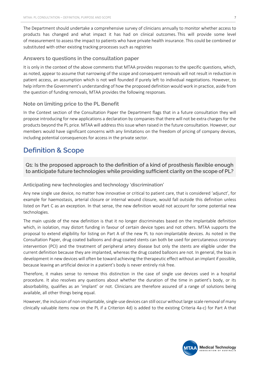The Department should undertake a comprehensive survey of clinicians annually to monitor whether access to products has changed and what impact it has had on clinical outcomes. This will provide some level of measurement to assess the impact to patients who have private health insurance. This could be combined or substituted with other existing tracking processes such as registries

#### **Answers to questions in the consultation paper**

It is only in the context of the above comments that MTAA provides responses to the specific questions, which, as noted, appear to assume that narrowing of the scope and consequent removals will not result in reduction in patient access, an assumption which is not well founded if purely left to individual negotiations. However, to help inform the Government's understanding of how the proposed definition would work in practice, aside from the question of funding removals, MTAA provides the following responses.

#### **Note on limiting price to the PL Benefit**

In the Context section of the Consultation Paper the Department flags that in a future consultation they will propose introducing for new applications a declaration by companies that there will not be extra charges for the products beyond the PL price. MTAA will address this issue when raised in the future consultation. However, our members would have significant concerns with any limitations on the freedom of pricing of company devices, including potential consequences for access in the private sector.

## **Definition & Scope**

**Q1: Is the proposed approach to the definition of a kind of prosthesis flexible enough to anticipate future technologies while providing sufficient clarity on the scope of PL?**

#### **Anticipating new technologies and technology 'discrimination'**

Any new single use device, no matter how innovative or critical to patient care, that is considered 'adjunct', for example for haemostasis, arterial closure or internal wound closure, would fall outside this definition unless listed on Part C as an exception. In that sense, the new definition would not account for some potential new technologies.

The main upside of the new definition is that it no longer discriminates based on the implantable definition which, in isolation, may distort funding in favour of certain device types and not others. MTAA supports the proposal to extend eligibility for listing on Part A of the new PL to non-implantable devices. As noted in the Consultation Paper, drug coated balloons and drug coated stents can both be used for percutaneous coronary intervention (PCI) and the treatment of peripheral artery disease but only the stents are eligible under the current definition because they are implanted, whereas the drug coated balloons are not. In general, the bias in development in new devices will often be toward achieving the therapeutic effect without an implant if possible, because leaving an artificial device in a patient's body is never entirely risk free.

Therefore, it makes sense to remove this distinction in the case of single use devices used in a hospital procedure. It also resolves any questions about whether the duration of the time in patient's body, or its absorbability, qualifies as an 'implant' or not. Clinicians are therefore assured of a range of solutions being available, all other things being equal.

However, the inclusion of non-implantable, single-use devices can still occur without large scale removal of many clinically valuable items now on the PL if a Criterion 4d) is added to the existing Criteria 4a-c) for Part A that

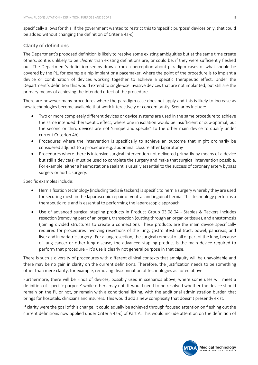specifically allows for this. If the government wanted to restrict this to 'specific purpose' devices only, that could be added without changing the definition of Criteria 4a-c).

#### **Clarity of definitions**

The Department's proposed definition is likely to resolve some existing ambiguities but at the same time create others, so it is unlikely to be *clearer* than existing definitions are, or could be, if they were sufficiently fleshed out. The Department's definition seems drawn from a perception about paradigm cases of what should be covered by the PL, for example a hip implant or a pacemaker, where the point of the procedure is to implant a device or combination of devices working together to achieve a specific therapeutic effect. Under the Department's definition this would extend to single-use invasive devices that are not implanted, but still are the primary means of achieving the intended effect of the procedure.

There are however many procedures where the paradigm case does not apply and this is likely to increase as new technologies become available that work interactively or concomitantly. Scenarios include:

- Two or more completely different devices or device systems are used in the same procedure to achieve the same intended therapeutic effect, where one in isolation would be insufficient or sub-optimal, but the second or third devices are not 'unique and specific' to the other main device to qualify under current Criterion 4b)
- Procedures where the intervention is specifically to achieve an outcome that might ordinarily be considered adjunct to a procedure e.g. abdominal closure after laparotomy
- Procedures where there is intensive surgical intervention not delivered primarily by means of a device but still a device(s) must be used to complete the surgery and make that surgical intervention possible. For example, either a haemostat or a sealant is usually essential to the success of coronary artery bypass surgery or aortic surgery.

Specific examples include:

- Hernia fixation technology (including tacks & tackers) is specific to hernia surgery whereby they are used for securing mesh in the laparoscopic repair of ventral and inguinal hernia. This technology performs a therapeutic role and is essential to performing the laparoscopic approach.
- Use of advanced surgical stapling products in Product Group 03.08.04 Staples & Tackers includes resection (removing part of an organ), transection (cutting through an organ or tissue), and anastomosis (joining divided structures to create a connection). These products are the main device specifically required for procedures involving resections of the lung, gastrointestinal tract, bowel, pancreas, and liver and in bariatric surgery. For a lung resection, the surgical removal of all or part of the lung, because of lung cancer or other lung disease, the advanced stapling product is the main device required to perform that procedure – it's use is clearly not general purpose in that case.

There is such a diversity of procedures with different clinical contexts that ambiguity will be unavoidable and there may be no gain in clarity on the current definitions. Therefore, the justification needs to be something other than mere clarity, for example, removing discrimination of technologies as noted above.

Furthermore, there will be kinds of devices, possibly used in scenarios above, where some uses will meet a definition of 'specific purpose' while others may not. It would need to be resolved whether the device should remain on the PL or not, or remain with a conditional listing, with the additional administration burden that brings for hospitals, clinicians and insurers. This would add a new complexity that doesn't presently exist.

If clarity were the goal of this change, it could equally be achieved through focused attention on fleshing out the current definitions now applied under Criteria 4a-c) of Part A. This would include attention on the definition of

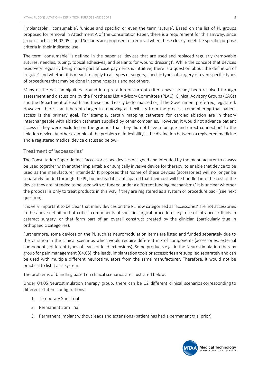'implantable', 'consumable', 'unique and specific' or even the term 'suture'. Based on the list of PL groups proposed for removal in Attachment A of the Consultation Paper, there is a requirement for this anyway, since groups such as 04.02.05 Liquid Sealants are proposed for removal when these clearly meet the specific purpose criteria in their indicated use.

The term 'consumable' is defined in the paper as 'devices that are used and replaced regularly (removable sutures, needles, tubing, topical adhesives, and sealants for wound dressing)'. While the concept that devices used very regularly being made part of case payments is intuitive, there is a question about the definition of 'regular' and whether it is meant to apply to all types of surgery, specific types of surgery or even specific types of procedures that may be done in some hospitals and not others.

Many of the past ambiguities around interpretation of current criteria have already been resolved through assessment and discussions by the Prostheses List Advisory Committee (PLAC), Clinical Advisory Groups (CAGs) and the Department of Health and these could easily be formalised or, if the Government preferred, legislated. However, there is an inherent danger in removing all flexibility from the process, remembering that patient access is the primary goal. For example, certain mapping catheters for cardiac ablation are in theory interchangeable with ablation catheters supplied by other companies. However, it would not advance patient access if they were excluded on the grounds that they did not have a 'unique and direct connection' to the ablation device. Another example of the problem of inflexibility is the distinction between a registered medicine and a registered medical device discussed below.

#### **Treatment of 'accessories'**

The Consultation Paper defines 'accessories' as 'devices designed and intended by the manufacturer to always be used together with another implantable or surgically invasive device for therapy, to enable that device to be used as the manufacturer intended.' It proposes that 'some of these devices (accessories) will no longer be separately funded through the PL, but instead it is anticipated that their cost will be bundled into the cost of the device they are intended to be used with or funded under a different funding mechanism).' It is unclear whether the proposal is only to treat products in this way if they are registered as a system or procedure pack (see next question).

It is very important to be clear that many devices on the PL now categorised as 'accessories' are not accessories in the above definition but critical components of specific surgical procedures e.g. use of intraocular fluids in cataract surgery, or that form part of an overall construct created by the clinician (particularly true in orthopaedic categories).

Furthermore, some devices on the PL such as neuromodulation items are listed and funded separately due to the variation in the clinical scenarios which would require different mix of components (accessories, external components, different types of leads or lead extensions). Some products e.g., in the Neurostimulation therapy group for pain management (04.05), the leads, implantation tools or accessories are supplied separately and can be used with multiple different neurostimulators from the same manufacturer. Therefore, it would not be practical to list it as a system.

The problems of bundling based on clinical scenarios are illustrated below.

Under 04.05 Neurostimulation therapy group, there can be 12 different clinical scenarios corresponding to different PL item configurations:

- 1. Temporary Stim Trial
- 2. Permanent Stim Trial
- 3. Permanent Implant without leads and extensions (patient has had a permanent trial prior)

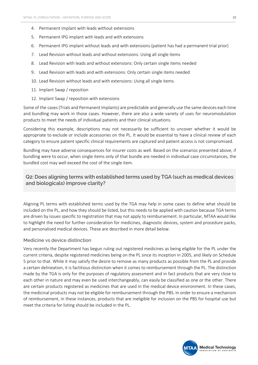- 4. Permanent implant with leads without extensions
- 5. Permanent IPG implant with leads and with extensions
- 6. Permanent IPG implant without leads and with extensions (patient has had a permanent trial prior)
- 7. Lead Revision without leads and without extensions: Using all single items
- 8. Lead Revision with leads and without extensions: Only certain single items needed
- 9. Lead Revision with leads and with extensions: Only certain single items needed
- 10. Lead Revision without leads and with extensions: Using all single items.
- 11. Implant Swap / reposition
- 12. Implant Swap / reposition with extensions

Some of the cases (Trials and Permanent Implants) are predictable and generally use the same devices each time and bundling may work in those cases. However, there are also a wide variety of uses for neuromodulation products to meet the needs of individual patients and their clinical situations.

Considering this example, descriptions may not necessarily be sufficient to uncover whether it would be appropriate to exclude or include accessories on the PL. It would be essential to have a clinical review of each category to ensure patient specific clinical requirements are captured and patient access is not compromised.

Bundling may have adverse consequences for insurer costs as well. Based on the scenarios presented above, if bundling were to occur, when single items only of that bundle are needed in individual case circumstances, the bundled cost may well exceed the cost of the single item.

## **Q2: Does aligning terms with established terms used by TGA (such as medical devices and biologicals) improve clarity?**

Aligning PL terms with established terms used by the TGA may help in some cases to define what should be included on the PL, and how they should be listed, but this needs to be applied with caution because TGA terms are driven by issues specific to registration that may not apply to reimbursement. In particular, MTAA would like to highlight the need for further consideration for medicines, diagnostic devices, system and procedure packs, and personalised medical devices. These are described in more detail below.

#### **Medicine vs device distinction**

Very recently the Department has begun ruling out registered medicines as being eligible for the PL under the current criteria, despite registered medicines being on the PL since its inception in 2005, and likely on Schedule 5 prior to that. While it may satisfy the desire to remove as many products as possible from the PL and provide a certain delineation, it is factitious distinction when it comes to reimbursement through the PL. The distinction made by the TGA is only for the purposes of regulatory assessment and in fact products that are very close to each other in nature and may even be used interchangeably, can easily be classified as one or the other. There are certain products registered as medicines that are used in the medical device environment. In these cases, the medicinal products may not be eligible for reimbursement through the PBS. In order to ensure a mechanism of reimbursement, in these instances, products that are ineligible for inclusion on the PBS for hospital use but meet the criteria for listing should be included in the PL.

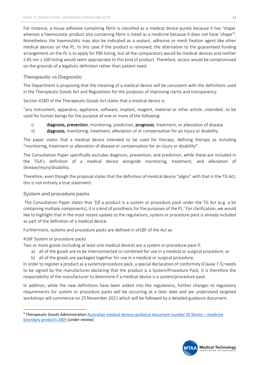For instance, a tissue adhesive containing fibrin is classified as a medical device purely because it has 'shape' whereas a haemostatic product also containing fibrin is listed as a medicine because it does not have 'shape'<sup>4</sup>. Nonetheless the haemostatic may also be indicated as a sealant, adhesive or mesh fixation agent like other medical devices on the PL. In this case if the product is removed, the alternative to the guaranteed funding arrangement on the PL is to apply for PBS listing, but all the comparators would be medical devices and neither S.85 nor s.100 listing would seem appropriate to this kind of product. Therefore, access would be compromised on the grounds of a legalistic definition rather than patient need.

#### **Therapeutic vs Diagnostic**

The Department is proposing that the meaning of a medical device will be consistent with the definitions used in the Therapeutic Goods Act and Regulations for the purposes of improving clarity and transparency:

Section 41BD of the Therapeutic Goods Act states that a medical device is:

"any instrument, apparatus, appliance, software, implant, reagent, material or other article…intended…to be used for human beings for the purpose of one or more of the following:

i) diagnosis, prevention, monitoring, prediction, prognosis, treatment, or alleviation of disease

ii) diagnosis, monitoring, treatment, alleviation of or compensation for an injury or disability

The paper states that a medical device intended to be used for therapy, defining therapy as including "monitoring, treatment or alleviation of disease or compensation for an injury or disability".

The Consultation Paper specifically excludes diagnosis, prevention, and prediction, while these are included in the TGA's definition of a medical device alongside monitoring, treatment, and alleviation of disease/injury/disability.

Therefore, even though the proposal states that the definition of medical device "aligns" with that in the TG Act, this is not entirely a true statement.

#### **System and procedure packs**

The Consultation Paper states that '[i]f a product is a system or procedure pack under the TG Act (e.g. a kit containing multiple components), it is a kind of prosthesis for the purposes of the PL.' For clarification, we would like to highlight that in the most recent update to the regulations, system or procedure pack is already included as part of the definition of a medical device.

Furthermore, systems and procedure packs are defined in s41BF of the Act as:

#### 41BF System or procedure packs

Two or more goods (including at least one medical device) are a system or procedure pack if:

- a) all of the goods are to be interconnected or combined for use in a medical or surgical procedure; or
- b) all of the goods are packaged together for use in a medical or surgical procedure.

In order to register a product as a system/procedure pack, a special declaration of conformity (Clause 7.5) needs to be signed by the manufacturer declaring that the product is a System/Procedure Pack. It is therefore the responsibility of the manufacturer to determine if a medical device is a system/procedure pack.

In addition, while the new definitions have been added into the regulations, further changes to regulatory requirements for system or procedure packs will be occurring at a later date and we understand targeted workshops will commence on 25 November 2021 which will be followed by a detailed guidance document.



<sup>4</sup> Therapeutic Goods Administration Australian medical devices guidance document number 35 Device – medicine boundary products 2005 [under review]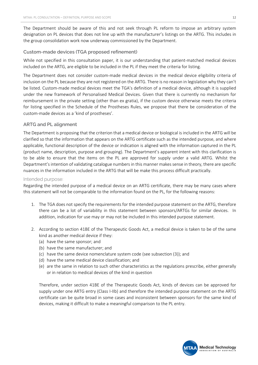The Department should be aware of this and not seek through PL reform to impose an arbitrary system designation on PL devices that does not line up with the manufacturer's listings on the ARTG. This includes in the group consolidation work now underway commissioned by the Department.

#### **Custom-made devices (TGA proposed refinement)**

While not specified in this consultation paper, it is our understanding that patient-matched medical devices included on the ARTG, are eligible to be included in the PL if they meet the criteria for listing.

The Department does not consider custom-made medical devices in the medical device eligibility criteria of inclusion on the PL because they are not registered on the ARTG. There is no reason in legislation why they can't be listed. Custom-made medical devices meet the TGA's definition of a medical device, although it is supplied under the new framework of Personalised Medical Devices. Given that there is currently no mechanism for reimbursement in the private setting (other than ex gratia), if the custom device otherwise meets the criteria for listing specified in the Schedule of the Prostheses Rules, we propose that there be consideration of the custom-made devices as a 'kind of prostheses'.

#### **ARTG and PL alignment**

The Department is proposing that the criterion that a medical device or biological is included in the ARTG will be clarified so that the information that appears on the ARTG certificate such as the intended purpose, and where applicable, functional description of the device or indication is aligned with the information captured in the PL (product name, description, purpose and grouping). The Department's apparent intent with this clarification is to be able to ensure that the items on the PL are approved for supply under a valid ARTG. Whilst the Department's intention of validating catalogue numbers in this manner makes sense in theory, there are specific nuances in the information included in the ARTG that will be make this process difficult practically.

#### Intended purpose:

Regarding the intended purpose of a medical device on an ARTG certificate, there may be many cases where this statement will not be comparable to the information found on the PL, for the following reasons:

- 1. The TGA does not specify the requirements for the intended purpose statement on the ARTG, therefore there can be a lot of variability in this statement between sponsors/ARTGs for similar devices. In addition, indication for use may or may not be included in this intended purpose statement.
- 2. According to section 41BE of the Therapeutic Goods Act, a medical device is taken to be of the same kind as another medical device if they:
	- (a) have the same sponsor; and
	- (b) have the same manufacturer; and
	- (c) have the same device nomenclature system code (see subsection (3)); and
	- (d) have the same medical device classification; and
	- (e) are the same in relation to such other characteristics as the regulations prescribe, either generally or in relation to medical devices of the kind in question

Therefore, under section 41BE of the Therapeutic Goods Act, kinds of devices can be approved for supply under one ARTG entry (Class I-IIb) and therefore the intended purpose statement on the ARTG certificate can be quite broad in some cases and inconsistent between sponsors for the same kind of devices, making it difficult to make a meaningful comparison to the PL entry.

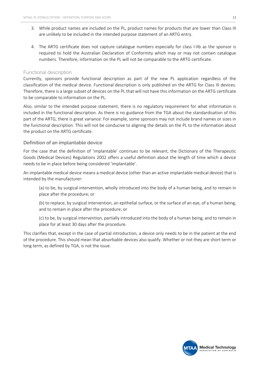- 3. While product names are included on the PL, product names for products that are lower than Class III are unlikely to be included in the intended purpose statement of an ARTG entry.
- 4. The ARTG certificate does not capture catalogue numbers especially for class I-IIb as the sponsor is required to hold the Australian Declaration of Conformity which may or may not contain catalogue numbers. Therefore, information on the PL will not be comparable to the ARTG certificate.

#### Functional description

Currently, sponsors provide functional description as part of the new PL application regardless of the classification of the medical device. Functional description is only published on the ARTG for Class III devices. Therefore, there is a large subset of devices on the PL that will not have this information on the ARTG certificate to be comparable to information on the PL.

Also, similar to the intended purpose statement, there is no regulatory requirement for what information is included in the functional description. As there is no guidance from the TGA about the standardisation of this part of the ARTG, there is great variance. For example, some sponsors may not include brand names or sizes in the functional description. This will not be conducive to aligning the details on the PL to the information about the product on the ARTG certificate.

#### **Definition of an implantable device**

For the case that the definition of 'implantable' continues to be relevant, the Dictionary of the Therapeutic Goods (Medical Devices) Regulations 2002 offers a useful definition about the length of time which a device needs to be in place before being considered 'implantable'.

An implantable medical device means a medical device (other than an active implantable medical device) that is intended by the manufacturer:

(a) to be, by surgical intervention, wholly introduced into the body of a human being, and to remain in place after the procedure; or

(b) to replace, by surgical intervention, an epithelial surface, or the surface of an eye, of a human being, and to remain in place after the procedure; or

(c) to be, by surgical intervention, partially introduced into the body of a human being, and to remain in place for at least 30 days after the procedure.

This clarifies that, except in the case of partial introduction, a device only needs to be in the patient at the end of the procedure. This should mean that absorbable devices also qualify. Whether or not they are short term or long term, as defined by TGA, is not the issue.

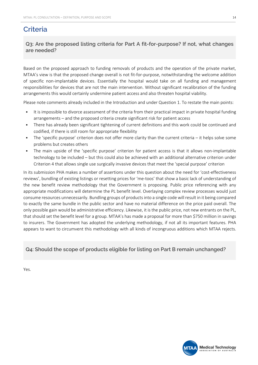# **Criteria**

**Q3: Are the proposed listing criteria for Part A fit-for-purpose? If not, what changes are needed?**

Based on the proposed approach to funding removals of products and the operation of the private market, MTAA's view is that the proposed change overall is not fit-for-purpose, notwithstanding the welcome addition of specific non-implantable devices. Essentially the hospital would take on all funding and management responsibilities for devices that are not the main intervention. Without significant recalibration of the funding arrangements this would certainly undermine patient access and also threaten hospital viability.

Please note comments already included in the Introduction and under Question 1. To restate the main points:

- It is impossible to divorce assessment of the criteria from their practical impact in private hospital funding arrangements – and the proposed criteria create significant risk for patient access
- There has already been significant tightening of current definitions and this work could be continued and codified, if there is still room for appropriate flexibility
- The 'specific purpose' criterion does not offer more clarity than the current criteria it helps solve some problems but creates others
- The main upside of the 'specific purpose' criterion for patient access is that it allows non-implantable technology to be included – but this could also be achieved with an additional alternative criterion under Criterion 4 that allows single use surgically invasive devices that meet the 'special purpose' criterion

In its submission PHA makes a number of assertions under this question about the need for 'cost-effectiveness reviews', bundling of existing listings or resetting prices for 'me-toos' that show a basic lack of understanding of the new benefit review methodology that the Government is proposing. Public price referencing with any appropriate modifications will determine the PL benefit level. Overlaying complex review processes would just consume resources unnecessarily. Bundling groups of products into a single code will result in it being compared to exactly the same bundle in the public sector and have no material difference on the price paid overall. The only possible gain would be administrative efficiency. Likewise, it is the public price, not new entrants on the PL, that should set the benefit level for a group. MTAA's has made a proposal for more than \$750 million in savings to insurers. The Government has adopted the underlying methodology, if not all its important features. PHA appears to want to circumvent this methodology with all kinds of incongruous additions which MTAA rejects.

## **Q4: Should the scope of products eligible for listing on Part B remain unchanged?**

Yes.



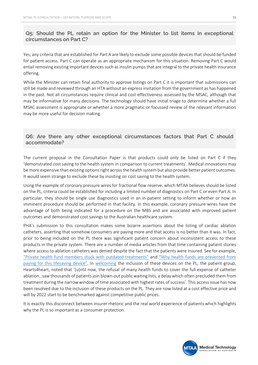## **Q5: Should the PL retain an option for the Minister to list items in exceptional circumstances on Part C?**

Yes, any criteria that are established for Part A are likely to exclude some possible devices that should be funded for patient access. Part C can operate as an appropriate mechanism for this situation. Removing Part C would entail removing existing important devices such as insulin pumps that are integral to the private health insurance offering.

While the Minister can retain final authority to approve listings on Part C it is important that submissions can still be made and reviewed through an HTA without an express invitation from the government as has happened in the past. Not all circumstances require clinical and cost-effectiveness assessed by the MSAC, although that may be informative for many decisions. The technology should have initial triage to determine whether a full MSAC assessment is appropriate or whether a more pragmatic or focussed review of the relevant information may be more useful for decision making.

### **Q6: Are there any other exceptional circumstances factors that Part C should accommodate?**

The current proposal in the Consultation Paper is that products could only be listed on Part C if they 'demonstrated cost saving to the health system in comparison to current treatments'. Medical innovations may be more expensive than existing options right across the health system but also provide better patient outcomes. It would seem strange to exclude these by insisting on cost saving to the health system.

Using the example of coronary pressure wires for fractional flow reserve, which MTAA believes should be listed on the PL, criteria could be established for including a limited number of diagnostics on Part C or even Part A. In particular, they should be single use diagnostics used in an in-patient setting to inform whether or how an imminent procedure should be performed in that facility. In this example, coronary pressure wires have the advantage of both being indicated for a procedure on the MBS and are associated with improved patient outcomes and demonstrated cost savings to the Australian healthcare system.

PHA's submission to this consultation makes some bizarre assertions about the listing of cardiac ablation catheters, asserting that somehow consumers are paying more and that access is no better than it was. In fact, prior to being included on the PL there was significant patient concern about inconsistent access to these products in the private system. There are a number of media articles from that time containing patient stories where access to ablation catheters was denied despite the fact that the patients were insured. See for example, "Private health fund members stuck with outdated treatments" and "Why health funds are prevented from paying for this lifesaving device". In welcoming the inclusion of these devices on the PL, the patient group, Hearts4heart, noted that '[u]ntil now, the refusal of many health funds to cover the full expense of catheter ablation…saw thousands of patients join blown-out public waiting lists, a delay which often precluded them from treatment during the narrow window of time associated with highest rates of success'. This access issue has now been resolved due to the inclusion of these products on the PL. They are now listed at a cost effective price and will by 2022 start to be benchmarked against competitive public prices.

It is exactly this disconnect between insurer rhetoric and the real world experience of patients which highlights why the PL is so important as a consumer protection.

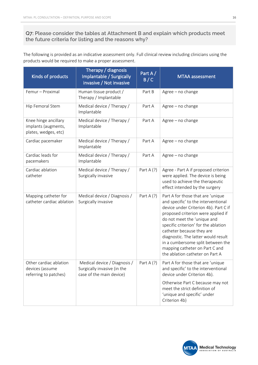## **Q7: Please consider the tables at Attachment B and explain which products meet the future criteria for listing and the reasons why?**

The following is provided as an indicative assessment only. Full clinical review including clinicians using the products would be required to make a proper assessment.

| Kinds of products                                                   | Therapy / diagnosis<br>Implantable / Surgically<br>invasive / Not invasive              | Part A/<br>B/C | <b>MTAA</b> assessment                                                                                                                                                                                                                                                                                                                                                                                       |
|---------------------------------------------------------------------|-----------------------------------------------------------------------------------------|----------------|--------------------------------------------------------------------------------------------------------------------------------------------------------------------------------------------------------------------------------------------------------------------------------------------------------------------------------------------------------------------------------------------------------------|
| Femur - Proximal                                                    | Human tissue product /<br>Therapy / Implantable                                         | Part B         | Agree - no change                                                                                                                                                                                                                                                                                                                                                                                            |
| Hip Femoral Stem                                                    | Medical device / Therapy /<br>Implantable                                               | Part A         | Agree - no change                                                                                                                                                                                                                                                                                                                                                                                            |
| Knee hinge ancillary<br>implants (augments,<br>plates, wedges, etc) | Medical device / Therapy /<br>Implantable                                               | Part A         | Agree - no change                                                                                                                                                                                                                                                                                                                                                                                            |
| Cardiac pacemaker                                                   | Medical device / Therapy /<br>Implantable                                               | Part A         | Agree - no change                                                                                                                                                                                                                                                                                                                                                                                            |
| Cardiac leads for<br>pacemakers                                     | Medical device / Therapy /<br>Implantable                                               | Part A         | Agree - no change                                                                                                                                                                                                                                                                                                                                                                                            |
| Cardiac ablation<br>catheter                                        | Medical device / Therapy /<br>Surgically invasive                                       | Part A $(?)$   | Agree - Part A if proposed criterion<br>were applied. The device is being<br>used to achieve the therapeutic<br>effect intended by the surgery                                                                                                                                                                                                                                                               |
| Mapping catheter for<br>catheter cardiac ablation                   | Medical device / Diagnosis /<br>Surgically invasive                                     | Part A $(?)$   | Part A for those that are 'unique<br>and specific' to the interventional<br>device under Criterion 4b). Part C if<br>proposed criterion were applied if<br>do not meet the 'unique and<br>specific criterion' for the ablation<br>catheter because they are<br>diagnostic. The latter would result<br>in a cumbersome split between the<br>mapping catheter on Part C and<br>the ablation catheter on Part A |
| Other cardiac ablation<br>devices (assume<br>referring to patches)  | Medical device / Diagnosis /<br>Surgically invasive (in the<br>case of the main device) | Part A $(?)$   | Part A for those that are 'unique<br>and specific' to the interventional<br>device under Criterion 4b).<br>Otherwise Part C because may not<br>meet the strict definition of<br>'unique and specific' under<br>Criterion 4b)                                                                                                                                                                                 |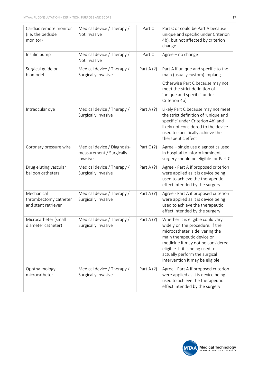| Cardiac remote monitor<br>(i.e. the bedside<br>monitor)    | Medical device / Therapy /<br>Not invasive                          | Part C       | Part C or could be Part A because<br>unique and specific under Criterion<br>4b), but not affected by criterion<br>change                                                                                                                                                           |
|------------------------------------------------------------|---------------------------------------------------------------------|--------------|------------------------------------------------------------------------------------------------------------------------------------------------------------------------------------------------------------------------------------------------------------------------------------|
| Insulin pump                                               | Medical device / Therapy /<br>Not invasive                          | Part C       | Agree - no change                                                                                                                                                                                                                                                                  |
| Surgical guide or<br>biomodel                              | Medical device / Therapy /<br>Surgically invasive                   | Part A $(?)$ | Part A if unique and specific to the<br>main (usually custom) implant;                                                                                                                                                                                                             |
|                                                            |                                                                     |              | Otherwise Part C because may not<br>meet the strict definition of<br>'unique and specific' under<br>Criterion 4b)                                                                                                                                                                  |
| Intraocular dye                                            | Medical device / Therapy /<br>Surgically invasive                   | Part A $(?)$ | Likely Part C because may not meet<br>the strict definition of 'unique and<br>specific' under Criterion 4b) and<br>likely not considered to the device<br>used to specifically achieve the<br>therapeutic effect                                                                   |
| Coronary pressure wire                                     | Medical device / Diagnosis-<br>measurement / Surgically<br>invasive | Part $C(?)$  | Agree - single use diagnostics used<br>in hospital to inform imminent<br>surgery should be eligible for Part C                                                                                                                                                                     |
| Drug eluting vascular<br>balloon catheters                 | Medical device / Therapy /<br>Surgically invasive                   | Part A $(?)$ | Agree - Part A if proposed criterion<br>were applied as it is device being<br>used to achieve the therapeutic<br>effect intended by the surgery                                                                                                                                    |
| Mechanical<br>thrombectomy catheter<br>and stent retriever | Medical device / Therapy /<br>Surgically invasive                   | Part A $(?)$ | Agree - Part A if proposed criterion<br>were applied as it is device being<br>used to achieve the therapeutic<br>effect intended by the surgery                                                                                                                                    |
| Microcatheter (small<br>diameter catheter)                 | Medical device / Therapy /<br>Surgically invasive                   | Part A $(?)$ | Whether it is eligible could vary<br>widely on the procedure. If the<br>microcatheter is delivering the<br>main therapeutic device or<br>medicine it may not be considered<br>eligible. If it is being used to<br>actually perform the surgical<br>intervention it may be eligible |
| Ophthalmology<br>microcatheter                             | Medical device / Therapy /<br>Surgically invasive                   | Part A $(?)$ | Agree - Part A if proposed criterion<br>were applied as it is device being<br>used to achieve the therapeutic<br>effect intended by the surgery                                                                                                                                    |

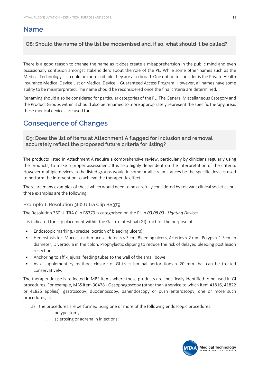## **Name**

**Q8: Should the name of the list be modernised and, if so, what should it be called?**

There is a good reason to change the name as it does create a misapprehension in the public mind and even occasionally confusion amongst stakeholders about the role of the PL. While some other names such as the Medical Technology List could be more suitable they are also broad. One option to consider is the Private Health Insurance Medical Device List or Medical Device – Guaranteed Access Program. However, all names have some ability to be misinterpreted. The name should be reconsidered once the final criteria are determined.

Renaming should also be considered for particular categories of the PL. The General Miscellaneous Category and the Product Groups within it should also be renamed to more appropriately represent the specific therapy areas these medical devices are used for.

# **Consequence of Changes**

**Q9: Does the list of items at Attachment A flagged for inclusion and removal accurately reflect the proposed future criteria for listing?**

The products listed in Attachment A require a comprehensive review, particularly by clinicians regularly using the products, to make a proper assessment. It is also highly dependent on the interpretation of the criteria. However multiple devices in the listed groups would in some or all circumstances be the specific devices used to perform the intervention to achieve the therapeutic effect.

There are many examples of these which would need to be carefully considered by relevant clinical societies but three examples are the following:

#### **Example 1: Resolution 360 Ultra Clip BS379**

The Resolution 360 ULTRA Clip BS379 is categorised on the PL in *03.08.03 - Ligating Devices.*

It is indicated for clip placement within the Gastro-intestinal (GI) tract for the purpose of:

- **Endoscopic marking, (precise location of bleeding ulcers)**
- § Hemostasis for: Mucosal/sub-mucosal defects < 3 cm, Bleeding ulcers, Arteries < 2 mm, Polyps < 1.5 cm in diameter, Diverticula in the colon, Prophylactic clipping to reduce the risk of delayed bleeding post lesion resection;
- § Anchoring to affix jejunal feeding tubes to the wall of the small bowel,
- § As a supplementary method, closure of GI tract luminal perforations < 20 mm that can be treated conservatively.

The therapeutic use is reflected in MBS items where these products are specifically identified to be used in GI procedures. For example, MBS item 30478 - Oesophagoscopy (other than a service to which item 41816, 41822 or 41825 applies), gastroscopy, duodenoscopy, panendoscopy or push enteroscopy, one or more such procedures, if:

- a) the procedures are performed using one or more of the following endoscopic procedures:
	- i. polypectomy;
	- ii. sclerosing or adrenalin injections;

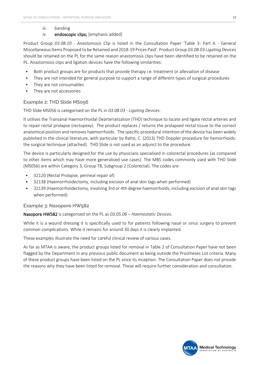#### iii. banding

#### iv. endoscopic clips; [emphasis added]

Product Group *03.08.10 - Anastomosis Clip* is listed in the Consultation Paper 'Table 3: Part A - General Miscellaneous Items Proposed to be Retained and 2018-19 Prices Paid'. Product Group *03.08.03 Ligating Devices* should be retained on the PL for the same reason anastomosis clips have been identified to be retained on the PL. Anastomosis clips and ligation devices have the following similarities:

- § Both product groups are for products that provide therapy i.e. treatment or alleviation of disease
- They are not intended for general purpose to support a range of different types of surgical procedures
- They are not consumables
- They are not accessories

#### **Example 2: THD Slide MS056**

THD Slide MS056 is categorised on the PL in *03.08.03 - Ligating Devices*.

It utilises the Transanal Haemorrhoidal Dearterialization (THD) technique to locate and ligate rectal arteries and to repair rectal prolapse (rectopexy). The product replaces / returns the prolapsed rectal tissue to the correct anatomical position and removes haemorrhoids. The specific procedural intention of the device has been widely published in the clinical literature, with particular by Ratto, C. (2013) THD Doppler procedure for hemorrhoids: the surgical technique (attached). THD Slide is not used as an adjunct to the procedure.

The device is particularly designed for the use by physicians specialised in colorectal procedures (as compared to other items which may have more generalised use cases). The MBS codes commonly used with THD Slide (MS056) are within Category 3, Group T8, Subgroup 2 (Colorectal). The codes are:

- **•** 32120 (Rectal Prolapse, perineal repair of)
- § 32138 (Haemorrhoidectomy, including excision of anal skin tags when performed)
- § 32139 (Haemorrhoidectomy, involving 3rd or 4th degree haemorrhoids, including excision of anal skin tags when performed).

#### **Example 3: Nasopore HW582**

Nasopore HW582 is categorised on the PL as *03.05.06 – Haemostatic Devices.*

While it is a wound dressing it is specifically used to for patients following nasal or sinus surgery to prevent common complications. While it remains for around 30 days it is clearly implanted.

These examples illustrate the need for careful clinical review of various cases.

As far as MTAA is aware, the product groups listed for removal in Table 2 of Consultation Paper have not been flagged by the Department in any previous public document as being outside the Prostheses List criteria. Many of these product groups have been listed on the PL since its inception. The Consultation Paper does not provide the reasons why they have been listed for removal. These will require further consideration and consultation.